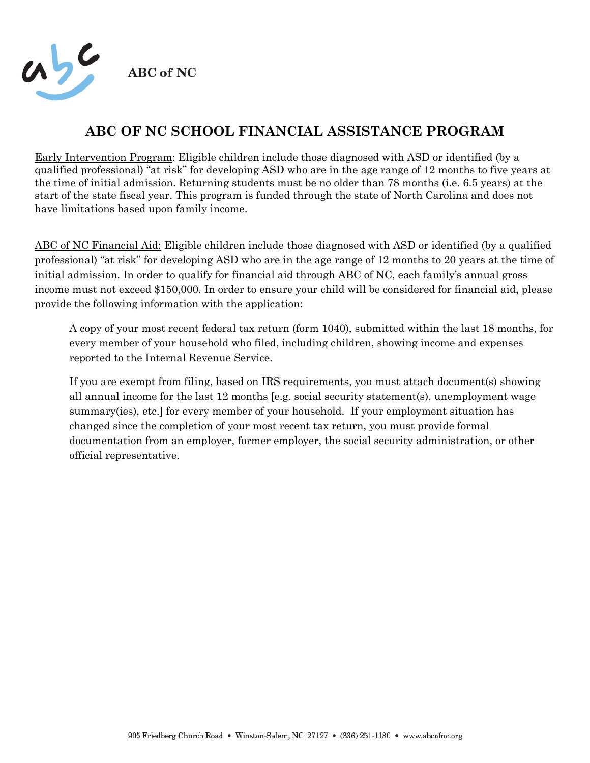

# **ABC OF NC SCHOOL FINANCIAL ASSISTANCE PROGRAM**

Early Intervention Program: Eligible children include those diagnosed with ASD or identified (by a qualified professional) "at risk" for developing ASD who are in the age range of 12 months to five years at the time of initial admission. Returning students must be no older than 78 months (i.e. 6.5 years) at the start of the state fiscal year. This program is funded through the state of North Carolina and does not have limitations based upon family income.

ABC of NC Financial Aid: Eligible children include those diagnosed with ASD or identified (by a qualified professional) "at risk" for developing ASD who are in the age range of 12 months to 20 years at the time of initial admission. In order to qualify for financial aid through ABC of NC, each family's annual gross income must not exceed \$150,000. In order to ensure your child will be considered for financial aid, please provide the following information with the application:

A copy of your most recent federal tax return (form 1040), submitted within the last 18 months, for every member of your household who filed, including children, showing income and expenses reported to the Internal Revenue Service.

If you are exempt from filing, based on IRS requirements, you must attach document(s) showing all annual income for the last 12 months [e.g. social security statement(s), unemployment wage summary(ies), etc.] for every member of your household. If your employment situation has changed since the completion of your most recent tax return, you must provide formal documentation from an employer, former employer, the social security administration, or other official representative.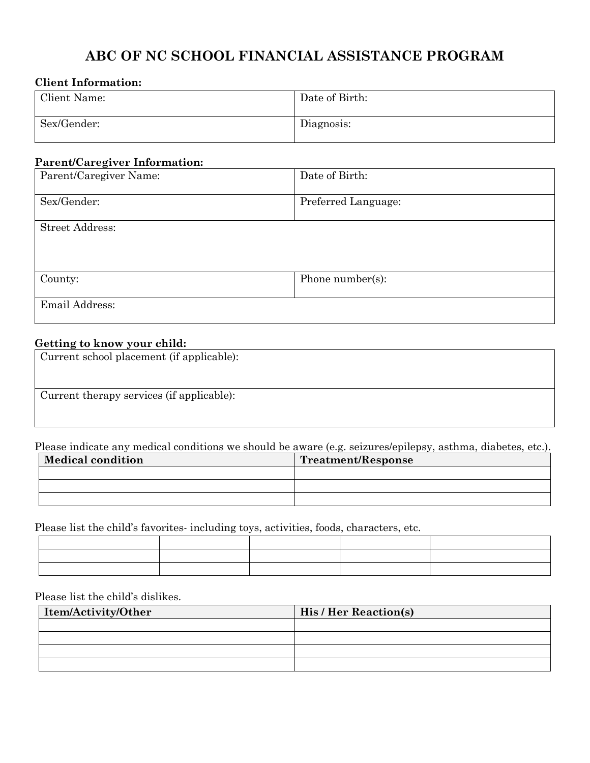## **ABC OF NC SCHOOL FINANCIAL ASSISTANCE PROGRAM**

#### **Client Information:**

| Client Name: | Date of Birth: |
|--------------|----------------|
| Sex/Gender:  | Diagnosis:     |

#### **Parent/Caregiver Information:**

| Parent/Caregiver Name: | Date of Birth:      |  |  |
|------------------------|---------------------|--|--|
|                        |                     |  |  |
| Sex/Gender:            | Preferred Language: |  |  |
|                        |                     |  |  |
| <b>Street Address:</b> |                     |  |  |
|                        |                     |  |  |
|                        |                     |  |  |
|                        |                     |  |  |
| County:                | Phone number(s):    |  |  |
|                        |                     |  |  |
| Email Address:         |                     |  |  |
|                        |                     |  |  |

### **Getting to know your child:**

| Current school placement (if applicable): |
|-------------------------------------------|
|                                           |
|                                           |
| Current therapy services (if applicable): |
|                                           |
|                                           |

Please indicate any medical conditions we should be aware (e.g. seizures/epilepsy, asthma, diabetes, etc.).

| <b>Medical condition</b> | Treatment/Response |  |  |
|--------------------------|--------------------|--|--|
|                          |                    |  |  |
|                          |                    |  |  |
|                          |                    |  |  |

Please list the child's favorites- including toys, activities, foods, characters, etc.

Please list the child's dislikes.

| Item/Activity/Other | <b>His / Her Reaction(s)</b> |  |  |
|---------------------|------------------------------|--|--|
|                     |                              |  |  |
|                     |                              |  |  |
|                     |                              |  |  |
|                     |                              |  |  |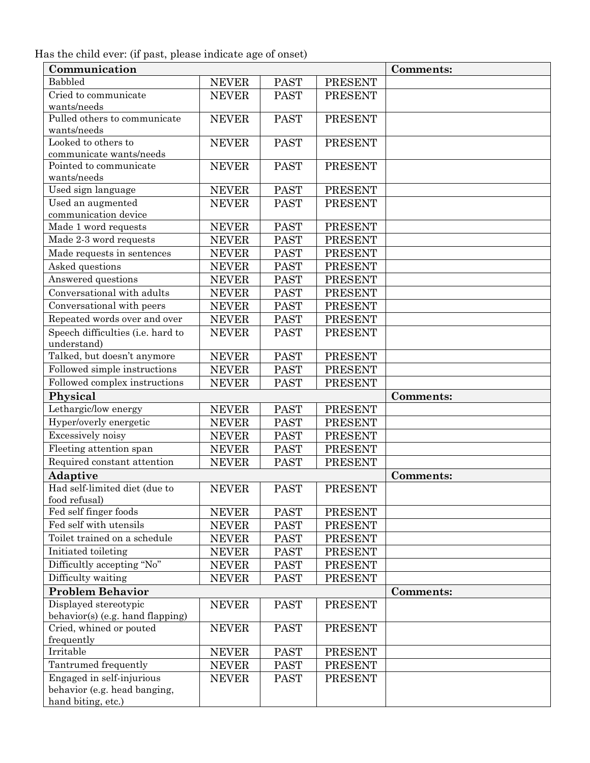Has the child ever: (if past, please indicate age of onset)

| Communication                     |              |             |                | <b>Comments:</b> |
|-----------------------------------|--------------|-------------|----------------|------------------|
| Babbled                           | <b>NEVER</b> | <b>PAST</b> | <b>PRESENT</b> |                  |
| Cried to communicate              | <b>NEVER</b> | <b>PAST</b> | <b>PRESENT</b> |                  |
| wants/needs                       |              |             |                |                  |
| Pulled others to communicate      | <b>NEVER</b> | <b>PAST</b> | <b>PRESENT</b> |                  |
| wants/needs                       |              |             |                |                  |
| Looked to others to               | <b>NEVER</b> | <b>PAST</b> | <b>PRESENT</b> |                  |
| communicate wants/needs           |              |             |                |                  |
| Pointed to communicate            | <b>NEVER</b> | <b>PAST</b> | <b>PRESENT</b> |                  |
| wants/needs                       |              |             |                |                  |
| Used sign language                | <b>NEVER</b> | <b>PAST</b> | <b>PRESENT</b> |                  |
| Used an augmented                 | <b>NEVER</b> | <b>PAST</b> | <b>PRESENT</b> |                  |
| communication device              |              |             |                |                  |
| Made 1 word requests              | <b>NEVER</b> | <b>PAST</b> | PRESENT        |                  |
| Made 2-3 word requests            | <b>NEVER</b> | <b>PAST</b> | <b>PRESENT</b> |                  |
| Made requests in sentences        | <b>NEVER</b> | <b>PAST</b> | <b>PRESENT</b> |                  |
| Asked questions                   | <b>NEVER</b> | <b>PAST</b> | <b>PRESENT</b> |                  |
| Answered questions                | <b>NEVER</b> | <b>PAST</b> | <b>PRESENT</b> |                  |
| Conversational with adults        | <b>NEVER</b> | <b>PAST</b> | <b>PRESENT</b> |                  |
| Conversational with peers         | <b>NEVER</b> | <b>PAST</b> | <b>PRESENT</b> |                  |
| Repeated words over and over      | <b>NEVER</b> | <b>PAST</b> | <b>PRESENT</b> |                  |
| Speech difficulties (i.e. hard to | <b>NEVER</b> | <b>PAST</b> | <b>PRESENT</b> |                  |
| understand)                       |              |             |                |                  |
| Talked, but doesn't anymore       | <b>NEVER</b> | <b>PAST</b> | <b>PRESENT</b> |                  |
| Followed simple instructions      | <b>NEVER</b> | <b>PAST</b> | <b>PRESENT</b> |                  |
| Followed complex instructions     | <b>NEVER</b> | <b>PAST</b> | <b>PRESENT</b> |                  |
| Physical                          |              |             |                | Comments:        |
| Lethargic/low energy              | <b>NEVER</b> | <b>PAST</b> | <b>PRESENT</b> |                  |
| Hyper/overly energetic            | <b>NEVER</b> | <b>PAST</b> | <b>PRESENT</b> |                  |
| Excessively noisy                 | <b>NEVER</b> | <b>PAST</b> | <b>PRESENT</b> |                  |
| Fleeting attention span           | <b>NEVER</b> | <b>PAST</b> | <b>PRESENT</b> |                  |
| Required constant attention       | <b>NEVER</b> | <b>PAST</b> | <b>PRESENT</b> |                  |
| Adaptive                          |              |             |                | Comments:        |
| Had self-limited diet (due to     | <b>NEVER</b> | <b>PAST</b> | <b>PRESENT</b> |                  |
| food refusal)                     |              |             |                |                  |
| Fed self finger foods             | <b>NEVER</b> | <b>PAST</b> | <b>PRESENT</b> |                  |
| Fed self with utensils            | <b>NEVER</b> | <b>PAST</b> | <b>PRESENT</b> |                  |
| Toilet trained on a schedule      | <b>NEVER</b> | <b>PAST</b> | <b>PRESENT</b> |                  |
| Initiated toileting               | <b>NEVER</b> | <b>PAST</b> | <b>PRESENT</b> |                  |
| Difficultly accepting "No"        | <b>NEVER</b> | <b>PAST</b> | <b>PRESENT</b> |                  |
| Difficulty waiting                | <b>NEVER</b> | <b>PAST</b> | <b>PRESENT</b> |                  |
| <b>Problem Behavior</b>           |              |             |                | <b>Comments:</b> |
| Displayed stereotypic             | <b>NEVER</b> | <b>PAST</b> | <b>PRESENT</b> |                  |
| behavior(s) (e.g. hand flapping)  |              |             |                |                  |
| Cried, whined or pouted           | <b>NEVER</b> | <b>PAST</b> | <b>PRESENT</b> |                  |
| frequently                        |              |             |                |                  |
| Irritable                         | <b>NEVER</b> | <b>PAST</b> | <b>PRESENT</b> |                  |
| Tantrumed frequently              | <b>NEVER</b> | <b>PAST</b> | <b>PRESENT</b> |                  |
| Engaged in self-injurious         | <b>NEVER</b> | <b>PAST</b> | <b>PRESENT</b> |                  |
| behavior (e.g. head banging,      |              |             |                |                  |
| hand biting, etc.)                |              |             |                |                  |